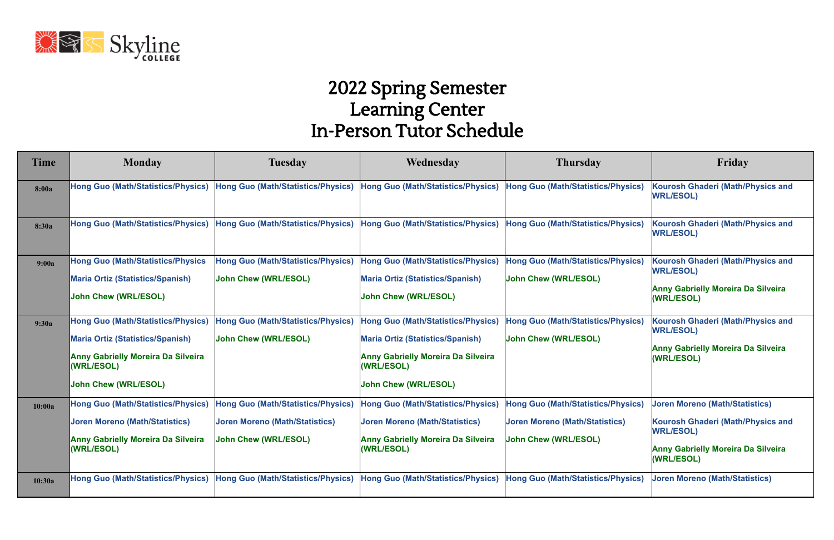

## 2022 Spring Semester Learning Center In-Person Tutor Schedule

| Time             | <b>Monday</b>                                                                                                                                                                              | <b>Tuesday</b>                                                                                                                                                 | Wednesday                                                                                                                                                                                  | <b>Thursday</b>                                                                                                                                                | Friday                                                                                                                                                                                                    |
|------------------|--------------------------------------------------------------------------------------------------------------------------------------------------------------------------------------------|----------------------------------------------------------------------------------------------------------------------------------------------------------------|--------------------------------------------------------------------------------------------------------------------------------------------------------------------------------------------|----------------------------------------------------------------------------------------------------------------------------------------------------------------|-----------------------------------------------------------------------------------------------------------------------------------------------------------------------------------------------------------|
| 8:00a            | <b>Hong Guo (Math/Statistics/Physics)</b>                                                                                                                                                  | <b>Hong Guo (Math/Statistics/Physics)</b>                                                                                                                      | <b>Hong Guo (Math/Statistics/Physics)</b>                                                                                                                                                  | <b>Hong Guo (Math/Statistics/Physics)</b>                                                                                                                      | <b>Kourosh Ghaderi (Math/Physics and</b><br><b>WRL/ESOL)</b>                                                                                                                                              |
| 8:30a            | <b>Hong Guo (Math/Statistics/Physics)</b>                                                                                                                                                  | <b>Hong Guo (Math/Statistics/Physics)</b>                                                                                                                      | <b>Hong Guo (Math/Statistics/Physics)</b>                                                                                                                                                  | <b>Hong Guo (Math/Statistics/Physics)</b>                                                                                                                      | <b>Kourosh Ghaderi (Math/Physics and</b><br><b>WRL/ESOL)</b>                                                                                                                                              |
| 9:00a            | <b>Hong Guo (Math/Statistics/Physics)</b><br><b>Maria Ortiz (Statistics/Spanish)</b><br>John Chew (WRL/ESOL)                                                                               | <b>Hong Guo (Math/Statistics/Physics)</b><br>John Chew (WRL/ESOL)                                                                                              | <b>Hong Guo (Math/Statistics/Physics)</b><br><b>Maria Ortiz (Statistics/Spanish)</b><br><b>John Chew (WRL/ESOL)</b>                                                                        | <b>Hong Guo (Math/Statistics/Physics)</b><br><b>John Chew (WRL/ESOL)</b>                                                                                       | <b>Kourosh Ghaderi (Math/Physics and</b><br><b>WRL/ESOL)</b><br><b>Anny Gabrielly Moreira Da Silveira</b><br>(WRL/ESOL)                                                                                   |
| 9:30a            | <b>Hong Guo (Math/Statistics/Physics)</b><br><b>Maria Ortiz (Statistics/Spanish)</b><br><b>Anny Gabrielly Moreira Da Silveira</b><br>(WRL/ESOL)<br>John Chew (WRL/ESOL)                    | <b>Hong Guo (Math/Statistics/Physics)</b><br><b>John Chew (WRL/ESOL)</b>                                                                                       | <b>Hong Guo (Math/Statistics/Physics)</b><br><b>Maria Ortiz (Statistics/Spanish)</b><br><b>Anny Gabrielly Moreira Da Silveira</b><br>(WRL/ESOL)<br><b>John Chew (WRL/ESOL)</b>             | <b>Hong Guo (Math/Statistics/Physics)</b><br><b>John Chew (WRL/ESOL)</b>                                                                                       | <b>Kourosh Ghaderi (Math/Physics and</b><br><b>WRL/ESOL)</b><br><b>Anny Gabrielly Moreira Da Silveira</b><br>(WRL/ESOL)                                                                                   |
| 10:00a<br>10:30a | <b>Hong Guo (Math/Statistics/Physics)</b><br><b>Joren Moreno (Math/Statistics)</b><br><b>Anny Gabrielly Moreira Da Silveira</b><br>(WRL/ESOL)<br><b>Hong Guo (Math/Statistics/Physics)</b> | <b>Hong Guo (Math/Statistics/Physics)</b><br><b>Joren Moreno (Math/Statistics)</b><br><b>John Chew (WRL/ESOL)</b><br><b>Hong Guo (Math/Statistics/Physics)</b> | <b>Hong Guo (Math/Statistics/Physics)</b><br><b>Joren Moreno (Math/Statistics)</b><br><b>Anny Gabrielly Moreira Da Silveira</b><br>(WRL/ESOL)<br><b>Hong Guo (Math/Statistics/Physics)</b> | <b>Hong Guo (Math/Statistics/Physics)</b><br><b>Joren Moreno (Math/Statistics)</b><br><b>John Chew (WRL/ESOL)</b><br><b>Hong Guo (Math/Statistics/Physics)</b> | <b>Joren Moreno (Math/Statistics)</b><br><b>Kourosh Ghaderi (Math/Physics and</b><br><b>WRL/ESOL)</b><br><b>Anny Gabrielly Moreira Da Silveira</b><br>(WRL/ESOL)<br><b>Joren Moreno (Math/Statistics)</b> |
|                  |                                                                                                                                                                                            |                                                                                                                                                                |                                                                                                                                                                                            |                                                                                                                                                                |                                                                                                                                                                                                           |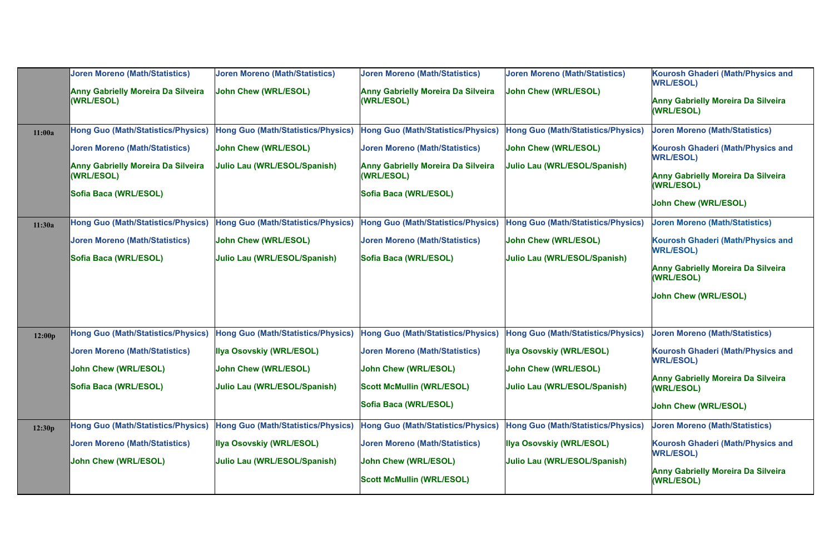|        | <b>Joren Moreno (Math/Statistics)</b><br>Anny Gabrielly Moreira Da Silveira | <b>Joren Moreno (Math/Statistics)</b><br><b>John Chew (WRL/ESOL)</b> | <b>Joren Moreno (Math/Statistics)</b><br><b>Anny Gabrielly Moreira Da Silveira</b> | <b>Joren Moreno (Math/Statistics)</b><br><b>John Chew (WRL/ESOL)</b> | <b>Kourosh Ghaderi (Math/Physics and</b><br><b>WRL/ESOL)</b> |
|--------|-----------------------------------------------------------------------------|----------------------------------------------------------------------|------------------------------------------------------------------------------------|----------------------------------------------------------------------|--------------------------------------------------------------|
|        | (WRL/ESOL)                                                                  |                                                                      | (WRL/ESOL)                                                                         |                                                                      | <b>Anny Gabrielly Moreira Da Silveira</b><br>(WRL/ESOL)      |
| 11:00a | <b>Hong Guo (Math/Statistics/Physics)</b>                                   | <b>Hong Guo (Math/Statistics/Physics)</b>                            | <b>Hong Guo (Math/Statistics/Physics)</b>                                          | Hong Guo (Math/Statistics/Physics)                                   | <b>Joren Moreno (Math/Statistics)</b>                        |
|        | <b>Joren Moreno (Math/Statistics)</b>                                       | <b>John Chew (WRL/ESOL)</b>                                          | <b>Joren Moreno (Math/Statistics)</b>                                              | <b>John Chew (WRL/ESOL)</b>                                          | Kourosh Ghaderi (Math/Physics and<br><b>WRL/ESOL)</b>        |
|        | Anny Gabrielly Moreira Da Silveira<br>(WRL/ESOL)                            | <b>Julio Lau (WRL/ESOL/Spanish)</b>                                  | <b>Anny Gabrielly Moreira Da Silveira</b><br>(WRL/ESOL)                            | Julio Lau (WRL/ESOL/Spanish)                                         | <b>Anny Gabrielly Moreira Da Silveira</b>                    |
|        |                                                                             |                                                                      |                                                                                    |                                                                      | (WRL/ESOL)                                                   |
|        | Sofia Baca (WRL/ESOL)                                                       |                                                                      | Sofia Baca (WRL/ESOL)                                                              |                                                                      | <b>John Chew (WRL/ESOL)</b>                                  |
| 11:30a | <b>Hong Guo (Math/Statistics/Physics)</b>                                   | <b>Hong Guo (Math/Statistics/Physics)</b>                            | <b>Hong Guo (Math/Statistics/Physics)</b>                                          | <b>Hong Guo (Math/Statistics/Physics)</b>                            | <b>Joren Moreno (Math/Statistics)</b>                        |
|        | <b>Joren Moreno (Math/Statistics)</b>                                       | <b>John Chew (WRL/ESOL)</b>                                          | <b>Joren Moreno (Math/Statistics)</b>                                              | <b>John Chew (WRL/ESOL)</b>                                          | <b>Kourosh Ghaderi (Math/Physics and</b><br><b>WRL/ESOL)</b> |
|        | Sofia Baca (WRL/ESOL)                                                       | <b>Julio Lau (WRL/ESOL/Spanish)</b>                                  | Sofia Baca (WRL/ESOL)                                                              | Julio Lau (WRL/ESOL/Spanish)                                         |                                                              |
|        |                                                                             |                                                                      |                                                                                    |                                                                      | <b>Anny Gabrielly Moreira Da Silveira</b><br>(WRL/ESOL)      |
|        |                                                                             |                                                                      |                                                                                    |                                                                      | <b>John Chew (WRL/ESOL)</b>                                  |
|        |                                                                             |                                                                      |                                                                                    |                                                                      |                                                              |
| 12:00p | <b>Hong Guo (Math/Statistics/Physics)</b>                                   | <b>Hong Guo (Math/Statistics/Physics)</b>                            | <b>Hong Guo (Math/Statistics/Physics)</b>                                          | Hong Guo (Math/Statistics/Physics)                                   | <b>Joren Moreno (Math/Statistics)</b>                        |
|        | <b>Joren Moreno (Math/Statistics)</b>                                       | <b>Ilya Osovskiy (WRL/ESOL)</b>                                      | <b>Joren Moreno (Math/Statistics)</b>                                              | <b>Illya Osovskiy (WRL/ESOL)</b>                                     | <b>Kourosh Ghaderi (Math/Physics and</b>                     |
|        | <b>John Chew (WRL/ESOL)</b>                                                 | <b>John Chew (WRL/ESOL)</b>                                          | <b>John Chew (WRL/ESOL)</b>                                                        | <b>John Chew (WRL/ESOL)</b>                                          | <b>WRL/ESOL)</b>                                             |
|        | Sofia Baca (WRL/ESOL)                                                       | Julio Lau (WRL/ESOL/Spanish)                                         | <b>Scott McMullin (WRL/ESOL)</b>                                                   | Julio Lau (WRL/ESOL/Spanish)                                         | <b>Anny Gabrielly Moreira Da Silveira</b><br>(WRL/ESOL)      |
|        |                                                                             |                                                                      | Sofia Baca (WRL/ESOL)                                                              |                                                                      | <b>John Chew (WRL/ESOL)</b>                                  |
| 12:30p | <b>Hong Guo (Math/Statistics/Physics)</b>                                   | <b>Hong Guo (Math/Statistics/Physics)</b>                            | <b>Hong Guo (Math/Statistics/Physics)</b>                                          | Hong Guo (Math/Statistics/Physics)                                   | <b>Joren Moreno (Math/Statistics)</b>                        |
|        | <b>Joren Moreno (Math/Statistics)</b>                                       | <b>Ilya Osovskiy (WRL/ESOL)</b>                                      | <b>Joren Moreno (Math/Statistics)</b>                                              | <b>Illya Osovskiy (WRL/ESOL)</b>                                     | Kourosh Ghaderi (Math/Physics and<br><b>WRL/ESOL)</b>        |
|        | <b>John Chew (WRL/ESOL)</b>                                                 | <b>Julio Lau (WRL/ESOL/Spanish)</b>                                  | <b>John Chew (WRL/ESOL)</b>                                                        | <b>Julio Lau (WRL/ESOL/Spanish)</b>                                  |                                                              |
|        |                                                                             |                                                                      | <b>Scott McMullin (WRL/ESOL)</b>                                                   |                                                                      | <b>Anny Gabrielly Moreira Da Silveira</b><br>(WRL/ESOL)      |
|        |                                                                             |                                                                      |                                                                                    |                                                                      |                                                              |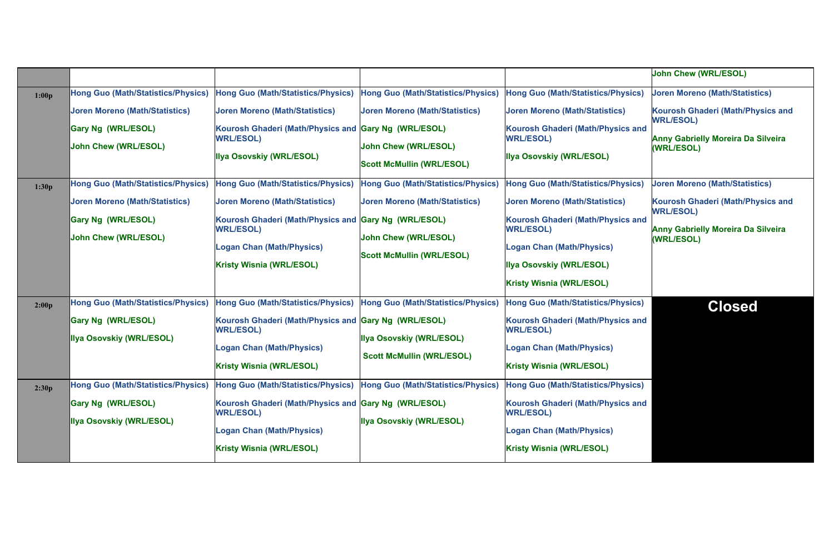|       |                                           |                                                                          |                                           |                                                              | <b>John Chew (WRL/ESOL)</b>                             |
|-------|-------------------------------------------|--------------------------------------------------------------------------|-------------------------------------------|--------------------------------------------------------------|---------------------------------------------------------|
| 1:00p | Hong Guo (Math/Statistics/Physics)        | <b>Hong Guo (Math/Statistics/Physics)</b>                                | <b>Hong Guo (Math/Statistics/Physics)</b> | <b>Hong Guo (Math/Statistics/Physics)</b>                    | <b>Joren Moreno (Math/Statistics)</b>                   |
|       | <b>Joren Moreno (Math/Statistics)</b>     | <b>Joren Moreno (Math/Statistics)</b>                                    | <b>Joren Moreno (Math/Statistics)</b>     | <b>Joren Moreno (Math/Statistics)</b>                        | Kourosh Ghaderi (Math/Physics and                       |
|       | Gary Ng (WRL/ESOL)                        | Kourosh Ghaderi (Math/Physics and Gary Ng (WRL/ESOL)                     |                                           | <b>Kourosh Ghaderi (Math/Physics and</b>                     | <b>WRL/ESOL)</b>                                        |
|       | John Chew (WRL/ESOL)                      | <b>WRL/ESOL)</b>                                                         | <b>John Chew (WRL/ESOL)</b>               | <b>WRL/ESOL)</b>                                             | <b>Anny Gabrielly Moreira Da Silveira</b><br>(WRL/ESOL) |
|       |                                           | Ilya Osovskiy (WRL/ESOL)                                                 | <b>Scott McMullin (WRL/ESOL)</b>          | <b>Ilya Osovskiy (WRL/ESOL)</b>                              |                                                         |
| 1:30p | Hong Guo (Math/Statistics/Physics)        | <b>Hong Guo (Math/Statistics/Physics)</b>                                | <b>Hong Guo (Math/Statistics/Physics)</b> | <b>Hong Guo (Math/Statistics/Physics)</b>                    | <b>Joren Moreno (Math/Statistics)</b>                   |
|       | <b>Joren Moreno (Math/Statistics)</b>     | <b>Joren Moreno (Math/Statistics)</b>                                    | <b>Joren Moreno (Math/Statistics)</b>     | <b>Joren Moreno (Math/Statistics)</b>                        | Kourosh Ghaderi (Math/Physics and<br><b>WRL/ESOL)</b>   |
|       | Gary Ng (WRL/ESOL)                        | Kourosh Ghaderi (Math/Physics and Gary Ng (WRL/ESOL)<br><b>WRL/ESOL)</b> |                                           | Kourosh Ghaderi (Math/Physics and<br><b>WRL/ESOL)</b>        |                                                         |
|       | <b>John Chew (WRL/ESOL)</b>               |                                                                          | John Chew (WRL/ESOL)                      |                                                              | <b>Anny Gabrielly Moreira Da Silveira</b><br>(WRL/ESOL) |
|       |                                           | <b>Logan Chan (Math/Physics)</b>                                         | <b>Scott McMullin (WRL/ESOL)</b>          | <b>Logan Chan (Math/Physics)</b>                             |                                                         |
|       |                                           | <b>Kristy Wisnia (WRL/ESOL)</b>                                          |                                           | <b>Ilya Osovskiy (WRL/ESOL)</b>                              |                                                         |
|       |                                           |                                                                          |                                           | <b>Kristy Wisnia (WRL/ESOL)</b>                              |                                                         |
| 2:00p | <b>Hong Guo (Math/Statistics/Physics)</b> | <b>Hong Guo (Math/Statistics/Physics)</b>                                | <b>Hong Guo (Math/Statistics/Physics)</b> | <b>Hong Guo (Math/Statistics/Physics)</b>                    | <b>Closed</b>                                           |
|       | Gary Ng (WRL/ESOL)                        | Kourosh Ghaderi (Math/Physics and Gary Ng (WRL/ESOL)<br><b>WRL/ESOL)</b> |                                           | <b>Kourosh Ghaderi (Math/Physics and</b><br><b>WRL/ESOL)</b> |                                                         |
|       | Ilya Osovskiy (WRL/ESOL)                  | <b>Logan Chan (Math/Physics)</b>                                         | <b>Illya Osovskiy (WRL/ESOL)</b>          | <b>Logan Chan (Math/Physics)</b>                             |                                                         |
|       |                                           |                                                                          | <b>Scott McMullin (WRL/ESOL)</b>          |                                                              |                                                         |
|       |                                           | <b>Kristy Wisnia (WRL/ESOL)</b>                                          |                                           | <b>Kristy Wisnia (WRL/ESOL)</b>                              |                                                         |
| 2:30p | <b>Hong Guo (Math/Statistics/Physics)</b> | Hong Guo (Math/Statistics/Physics) Hong Guo (Math/Statistics/Physics)    |                                           | <b>Hong Guo (Math/Statistics/Physics)</b>                    |                                                         |
|       | Gary Ng (WRL/ESOL)                        | Kourosh Ghaderi (Math/Physics and Gary Ng (WRL/ESOL)<br><b>WRL/ESOL)</b> |                                           | <b>Kourosh Ghaderi (Math/Physics and</b><br><b>WRL/ESOL)</b> |                                                         |
|       | <b>Illya Osovskiy (WRL/ESOL)</b>          | <b>Logan Chan (Math/Physics)</b>                                         | <b>Illya Osovskiy (WRL/ESOL)</b>          | <b>Logan Chan (Math/Physics)</b>                             |                                                         |
|       |                                           | <b>Kristy Wisnia (WRL/ESOL)</b>                                          |                                           | <b>Kristy Wisnia (WRL/ESOL)</b>                              |                                                         |
|       |                                           |                                                                          |                                           |                                                              |                                                         |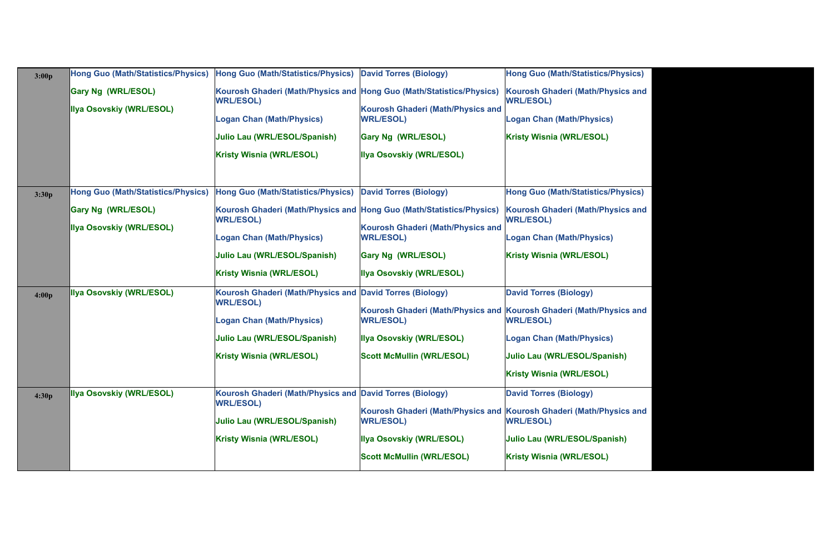| 3:00p | <b>Hong Guo (Math/Statistics/Physics)</b> | <b>Hong Guo (Math/Statistics/Physics)</b>                                    | <b>David Torres (Biology)</b>                                                           | Hong Guo (Math/Statistics/Physics)        |  |
|-------|-------------------------------------------|------------------------------------------------------------------------------|-----------------------------------------------------------------------------------------|-------------------------------------------|--|
|       | Gary Ng (WRL/ESOL)                        | Kourosh Ghaderi (Math/Physics and Hong Guo (Math/Statistics/Physics)         |                                                                                         | Kourosh Ghaderi (Math/Physics and         |  |
|       | Ilya Osovskiy (WRL/ESOL)                  | <b>WRL/ESOL)</b>                                                             | Kourosh Ghaderi (Math/Physics and                                                       | <b>WRL/ESOL)</b>                          |  |
|       |                                           | <b>Logan Chan (Math/Physics)</b>                                             | <b>WRL/ESOL)</b>                                                                        | <b>Logan Chan (Math/Physics)</b>          |  |
|       |                                           | Julio Lau (WRL/ESOL/Spanish)                                                 | Gary Ng (WRL/ESOL)                                                                      | <b>Kristy Wisnia (WRL/ESOL)</b>           |  |
|       |                                           | <b>Kristy Wisnia (WRL/ESOL)</b>                                              | Ilya Osovskiy (WRL/ESOL)                                                                |                                           |  |
|       |                                           |                                                                              |                                                                                         |                                           |  |
| 3:30p | <b>Hong Guo (Math/Statistics/Physics)</b> | <b>Hong Guo (Math/Statistics/Physics)</b>                                    | <b>David Torres (Biology)</b>                                                           | <b>Hong Guo (Math/Statistics/Physics)</b> |  |
|       | Gary Ng (WRL/ESOL)                        | Kourosh Ghaderi (Math/Physics and Hong Guo (Math/Statistics/Physics)         |                                                                                         | Kourosh Ghaderi (Math/Physics and         |  |
|       | Ilya Osovskiy (WRL/ESOL)                  | <b>WRL/ESOL)</b>                                                             | Kourosh Ghaderi (Math/Physics and                                                       | <b>WRL/ESOL)</b>                          |  |
|       |                                           | <b>Logan Chan (Math/Physics)</b>                                             | <b>WRL/ESOL)</b>                                                                        | <b>Logan Chan (Math/Physics)</b>          |  |
|       |                                           | Julio Lau (WRL/ESOL/Spanish)                                                 | Gary Ng (WRL/ESOL)                                                                      | <b>Kristy Wisnia (WRL/ESOL)</b>           |  |
|       |                                           | <b>Kristy Wisnia (WRL/ESOL)</b>                                              | Ilya Osovskiy (WRL/ESOL)                                                                |                                           |  |
| 4:00p | Ilya Osovskiy (WRL/ESOL)                  | Kourosh Ghaderi (Math/Physics and David Torres (Biology)<br><b>WRL/ESOL)</b> |                                                                                         | <b>David Torres (Biology)</b>             |  |
|       |                                           |                                                                              | Kourosh Ghaderi (Math/Physics and Kourosh Ghaderi (Math/Physics and<br><b>WRL/ESOL)</b> | <b>WRL/ESOL)</b>                          |  |
|       |                                           | <b>Logan Chan (Math/Physics)</b>                                             |                                                                                         |                                           |  |
|       |                                           | <b>Julio Lau (WRL/ESOL/Spanish)</b>                                          | <b>Illya Osovskiy (WRL/ESOL)</b>                                                        | <b>Logan Chan (Math/Physics)</b>          |  |
|       |                                           | <b>Kristy Wisnia (WRL/ESOL)</b>                                              | <b>Scott McMullin (WRL/ESOL)</b>                                                        | Julio Lau (WRL/ESOL/Spanish)              |  |
|       |                                           |                                                                              |                                                                                         | <b>Kristy Wisnia (WRL/ESOL)</b>           |  |
| 4:30p | <b>Ilya Osovskiy (WRL/ESOL)</b>           | Kourosh Ghaderi (Math/Physics and David Torres (Biology)                     |                                                                                         | <b>David Torres (Biology)</b>             |  |
|       |                                           | <b>WRL/ESOL)</b>                                                             | Kourosh Ghaderi (Math/Physics and Kourosh Ghaderi (Math/Physics and                     |                                           |  |
|       |                                           | <b>Julio Lau (WRL/ESOL/Spanish)</b>                                          | <b>WRL/ESOL)</b>                                                                        | <b>WRL/ESOL)</b>                          |  |
|       |                                           | <b>Kristy Wisnia (WRL/ESOL)</b>                                              | Ilya Osovskiy (WRL/ESOL)                                                                | Julio Lau (WRL/ESOL/Spanish)              |  |
|       |                                           |                                                                              | <b>Scott McMullin (WRL/ESOL)</b>                                                        | <b>Kristy Wisnia (WRL/ESOL)</b>           |  |
|       |                                           |                                                                              |                                                                                         |                                           |  |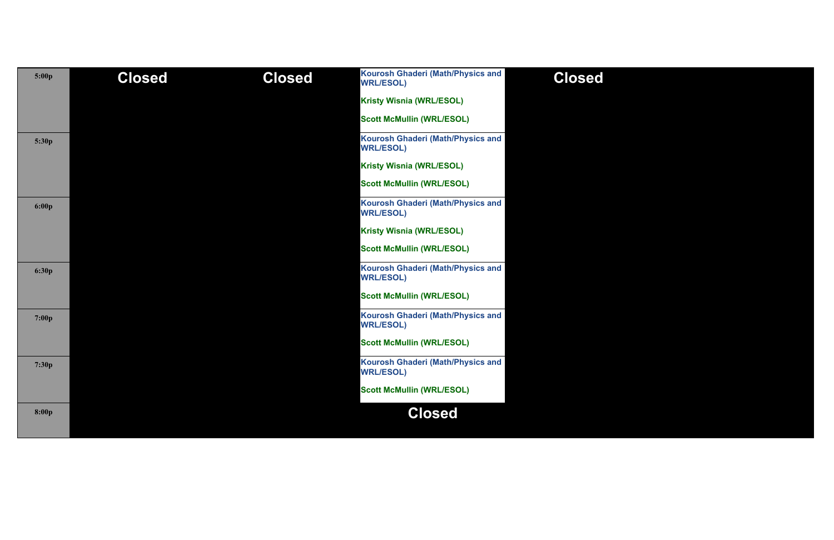| 5:00p | <b>Closed</b> | <b>Closed</b> | <b>Kourosh Ghaderi (Math/Physics and</b><br><b>WRL/ESOL)</b> | <b>Closed</b> |
|-------|---------------|---------------|--------------------------------------------------------------|---------------|
|       |               |               | <b>Kristy Wisnia (WRL/ESOL)</b>                              |               |
|       |               |               | <b>Scott McMullin (WRL/ESOL)</b>                             |               |
| 5:30p |               |               | <b>Kourosh Ghaderi (Math/Physics and</b><br><b>WRL/ESOL)</b> |               |
|       |               |               | <b>Kristy Wisnia (WRL/ESOL)</b>                              |               |
|       |               |               | <b>Scott McMullin (WRL/ESOL)</b>                             |               |
| 6:00p |               |               | Kourosh Ghaderi (Math/Physics and<br><b>WRL/ESOL)</b>        |               |
|       |               |               | <b>Kristy Wisnia (WRL/ESOL)</b>                              |               |
|       |               |               | <b>Scott McMullin (WRL/ESOL)</b>                             |               |
| 6:30p |               |               | <b>Kourosh Ghaderi (Math/Physics and</b><br><b>WRL/ESOL)</b> |               |
|       |               |               | <b>Scott McMullin (WRL/ESOL)</b>                             |               |
| 7:00p |               |               | <b>Kourosh Ghaderi (Math/Physics and</b><br><b>WRL/ESOL)</b> |               |
|       |               |               | <b>Scott McMullin (WRL/ESOL)</b>                             |               |
| 7:30p |               |               | <b>Kourosh Ghaderi (Math/Physics and</b><br><b>WRL/ESOL)</b> |               |
|       |               |               | <b>Scott McMullin (WRL/ESOL)</b>                             |               |
| 8:00p |               |               | <b>Closed</b>                                                |               |
|       |               |               |                                                              |               |